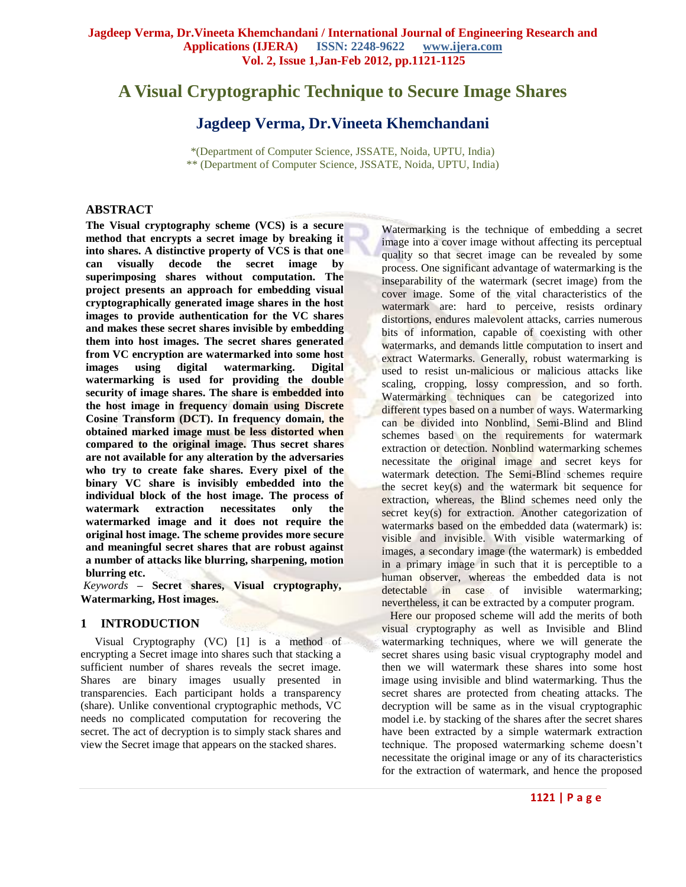# **A Visual Cryptographic Technique to Secure Image Shares**

# **Jagdeep Verma, Dr.Vineeta Khemchandani**

\*(Department of Computer Science, JSSATE, Noida, UPTU, India) \*\* (Department of Computer Science, JSSATE, Noida, UPTU, India)

# **ABSTRACT**

**The Visual cryptography scheme (VCS) is a secure method that encrypts a secret image by breaking it into shares. A distinctive property of VCS is that one can visually decode the secret image by superimposing shares without computation. The project presents an approach for embedding visual cryptographically generated image shares in the host images to provide authentication for the VC shares and makes these secret shares invisible by embedding them into host images. The secret shares generated from VC encryption are watermarked into some host images using digital watermarking. Digital watermarking is used for providing the double security of image shares. The share is embedded into the host image in frequency domain using Discrete Cosine Transform (DCT). In frequency domain, the obtained marked image must be less distorted when compared to the original image. Thus secret shares are not available for any alteration by the adversaries who try to create fake shares. Every pixel of the binary VC share is invisibly embedded into the individual block of the host image. The process of watermark extraction necessitates only the watermarked image and it does not require the original host image. The scheme provides more secure and meaningful secret shares that are robust against a number of attacks like blurring, sharpening, motion blurring etc.**

*Keywords* **– Secret shares, Visual cryptography, Watermarking, Host images.**

#### **1 INTRODUCTION**

 Visual Cryptography (VC) [1] is a method of encrypting a Secret image into shares such that stacking a sufficient number of shares reveals the secret image. Shares are binary images usually presented in transparencies. Each participant holds a transparency (share). Unlike conventional cryptographic methods, VC needs no complicated computation for recovering the secret. The act of decryption is to simply stack shares and view the Secret image that appears on the stacked shares.

Watermarking is the technique of embedding a secret image into a cover image without affecting its perceptual quality so that secret image can be revealed by some process. One significant advantage of watermarking is the inseparability of the watermark (secret image) from the cover image. Some of the vital characteristics of the watermark are: hard to perceive, resists ordinary distortions, endures malevolent attacks, carries numerous bits of information, capable of coexisting with other watermarks, and demands little computation to insert and extract Watermarks. Generally, robust watermarking is used to resist un-malicious or malicious attacks like scaling, cropping, lossy compression, and so forth. Watermarking techniques can be categorized into different types based on a number of ways. Watermarking can be divided into Nonblind, Semi-Blind and Blind schemes based on the requirements for watermark extraction or detection. Nonblind watermarking schemes necessitate the original image and secret keys for watermark detection. The Semi-Blind schemes require the secret key(s) and the watermark bit sequence for extraction, whereas, the Blind schemes need only the secret key(s) for extraction. Another categorization of watermarks based on the embedded data (watermark) is: visible and invisible. With visible watermarking of images, a secondary image (the watermark) is embedded in a primary image in such that it is perceptible to a human observer, whereas the embedded data is not detectable in case of invisible watermarking; nevertheless, it can be extracted by a computer program.

 Here our proposed scheme will add the merits of both visual cryptography as well as Invisible and Blind watermarking techniques, where we will generate the secret shares using basic visual cryptography model and then we will watermark these shares into some host image using invisible and blind watermarking. Thus the secret shares are protected from cheating attacks. The decryption will be same as in the visual cryptographic model i.e. by stacking of the shares after the secret shares have been extracted by a simple watermark extraction technique. The proposed watermarking scheme doesn't necessitate the original image or any of its characteristics for the extraction of watermark, and hence the proposed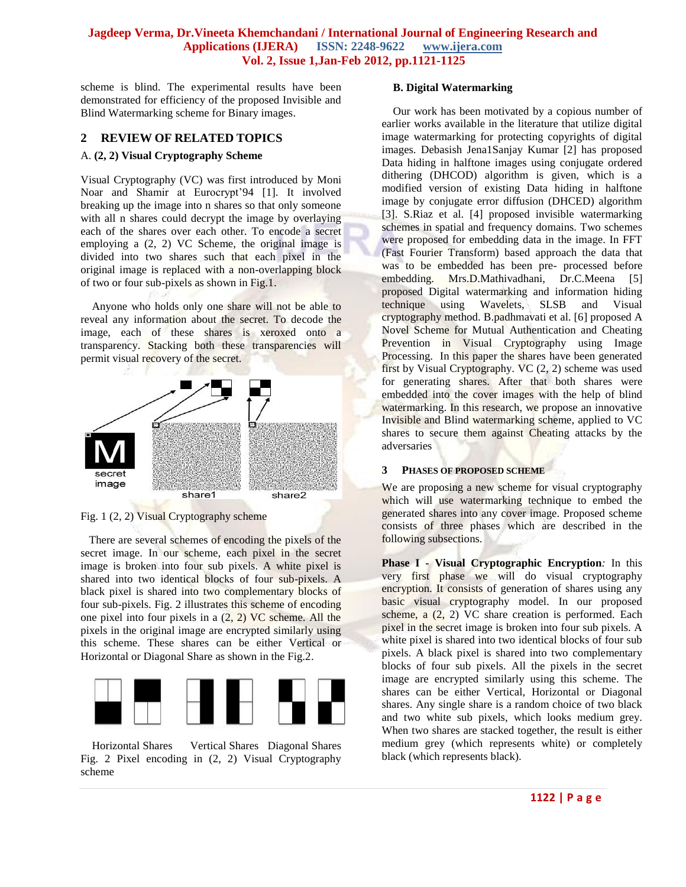scheme is blind. The experimental results have been demonstrated for efficiency of the proposed Invisible and Blind Watermarking scheme for Binary images.

# **2 REVIEW OF RELATED TOPICS**

#### A. **(2, 2) Visual Cryptography Scheme**

Visual Cryptography (VC) was first introduced by Moni Noar and Shamir at Eurocrypt'94 [1]. It involved breaking up the image into n shares so that only someone with all n shares could decrypt the image by overlaying each of the shares over each other. To encode a secret employing a (2, 2) VC Scheme, the original image is divided into two shares such that each pixel in the original image is replaced with a non-overlapping block of two or four sub-pixels as shown in Fig.1.

Anyone who holds only one share will not be able to reveal any information about the secret. To decode the image, each of these shares is xeroxed onto a transparency. Stacking both these transparencies will permit visual recovery of the secret.



Fig. 1 (2, 2) Visual Cryptography scheme

 There are several schemes of encoding the pixels of the secret image. In our scheme, each pixel in the secret image is broken into four sub pixels. A white pixel is shared into two identical blocks of four sub-pixels. A black pixel is shared into two complementary blocks of four sub-pixels. Fig. 2 illustrates this scheme of encoding one pixel into four pixels in a  $(2, 2)$  VC scheme. All the pixels in the original image are encrypted similarly using this scheme. These shares can be either Vertical or Horizontal or Diagonal Share as shown in the Fig.2.



Horizontal Shares Vertical Shares Diagonal Shares Fig. 2 Pixel encoding in (2, 2) Visual Cryptography scheme

# **B. Digital Watermarking**

Our work has been motivated by a copious number of earlier works available in the literature that utilize digital image watermarking for protecting copyrights of digital images. Debasish Jena1Sanjay Kumar [2] has proposed Data hiding in halftone images using conjugate ordered dithering (DHCOD) algorithm is given, which is a modified version of existing Data hiding in halftone image by conjugate error diffusion (DHCED) algorithm [3]. S.Riaz et al. [4] proposed invisible watermarking schemes in spatial and frequency domains. Two schemes were proposed for embedding data in the image. In FFT (Fast Fourier Transform) based approach the data that was to be embedded has been pre- processed before embedding. Mrs.D.Mathivadhani, Dr.C.Meena [5] proposed Digital watermarking and information hiding technique using Wavelets, SLSB and Visual cryptography method. B.padhmavati et al. [6] proposed A Novel Scheme for Mutual Authentication and Cheating Prevention in Visual Cryptography using Image Processing. In this paper the shares have been generated first by Visual Cryptography. VC (2, 2) scheme was used for generating shares. After that both shares were embedded into the cover images with the help of blind watermarking. In this research, we propose an innovative Invisible and Blind watermarking scheme, applied to VC shares to secure them against Cheating attacks by the adversaries

#### **3 PHASES OF PROPOSED SCHEME**

We are proposing a new scheme for visual cryptography which will use watermarking technique to embed the generated shares into any cover image. Proposed scheme consists of three phases which are described in the following subsections.

**Phase I - Visual Cryptographic Encryption***:* In this very first phase we will do visual cryptography encryption. It consists of generation of shares using any basic visual cryptography model. In our proposed scheme, a (2, 2) VC share creation is performed. Each pixel in the secret image is broken into four sub pixels. A white pixel is shared into two identical blocks of four sub pixels. A black pixel is shared into two complementary blocks of four sub pixels. All the pixels in the secret image are encrypted similarly using this scheme. The shares can be either Vertical, Horizontal or Diagonal shares. Any single share is a random choice of two black and two white sub pixels, which looks medium grey. When two shares are stacked together, the result is either medium grey (which represents white) or completely black (which represents black).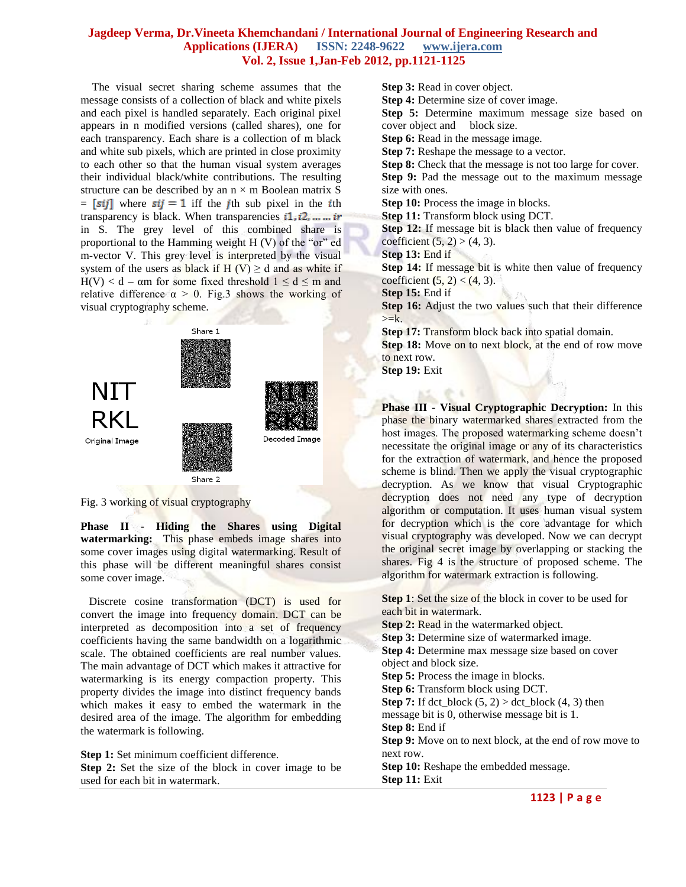The visual secret sharing scheme assumes that the message consists of a collection of black and white pixels and each pixel is handled separately. Each original pixel appears in n modified versions (called shares), one for each transparency. Each share is a collection of m black and white sub pixels, which are printed in close proximity to each other so that the human visual system averages their individual black/white contributions. The resulting structure can be described by an  $n \times m$  Boolean matrix S  $=$  [sij] where sij = 1 iff the jth sub pixel in the ith transparency is black. When transparencies  $i1, i2, \dots$  in in S. The grey level of this combined share is proportional to the Hamming weight H (V) of the "or" ed m-vector V. This grey level is interpreted by the visual system of the users as black if H (V)  $\geq$  d and as white if H(V) < d –  $\alpha$ m for some fixed threshold  $1 \le d \le m$  and relative difference  $\alpha > 0$ . Fig.3 shows the working of visual cryptography scheme.



Fig. 3 working of visual cryptography

**Phase II - Hiding the Shares using Digital watermarking:**This phase embeds image shares into some cover images using digital watermarking. Result of this phase will be different meaningful shares consist some cover image.

 Discrete cosine transformation (DCT) is used for convert the image into frequency domain. DCT can be interpreted as decomposition into a set of frequency coefficients having the same bandwidth on a logarithmic scale. The obtained coefficients are real number values. The main advantage of DCT which makes it attractive for watermarking is its energy compaction property. This property divides the image into distinct frequency bands which makes it easy to embed the watermark in the desired area of the image. The algorithm for embedding the watermark is following.

**Step 1:** Set minimum coefficient difference. **Step 2:** Set the size of the block in cover image to be used for each bit in watermark.

**Step 3:** Read in cover object. **Step 4:** Determine size of cover image. **Step 5:** Determine maximum message size based on cover object and block size. **Step 6:** Read in the message image. **Step 7:** Reshape the message to a vector. **Step 8:** Check that the message is not too large for cover. **Step 9:** Pad the message out to the maximum message size with ones. **Step 10:** Process the image in blocks. **Step 11:** Transform block using DCT. **Step 12:** If message bit is black then value of frequency coefficient  $(5, 2) > (4, 3)$ . **Step 13:** End if **Step 14:** If message bit is white then value of frequency coefficient  $(5, 2) < (4, 3)$ . **Step 15:** End if **Step 16:** Adjust the two values such that their difference  $>=k.$ **Step 17:** Transform block back into spatial domain. Step 18: Move on to next block, at the end of row move to next row.

**Step 19:** Exit

**Phase III - Visual Cryptographic Decryption:** In this phase the binary watermarked shares extracted from the host images. The proposed watermarking scheme doesn't necessitate the original image or any of its characteristics for the extraction of watermark, and hence the proposed scheme is blind. Then we apply the visual cryptographic decryption. As we know that visual Cryptographic decryption does not need any type of decryption algorithm or computation. It uses human visual system for decryption which is the core advantage for which visual cryptography was developed. Now we can decrypt the original secret image by overlapping or stacking the shares. Fig 4 is the structure of proposed scheme. The algorithm for watermark extraction is following.

**Step 1**: Set the size of the block in cover to be used for each bit in watermark. **Step 2: Read in the watermarked object. Step 3:** Determine size of watermarked image. **Step 4:** Determine max message size based on cover object and block size. **Step 5:** Process the image in blocks. **Step 6:** Transform block using DCT. **Step 7:** If dct\_block  $(5, 2)$  > dct\_block  $(4, 3)$  then message bit is 0, otherwise message bit is 1. **Step 8:** End if **Step 9:** Move on to next block, at the end of row move to next row. **Step 10:** Reshape the embedded message. **Step 11:** Exit

**1123 | P a g e**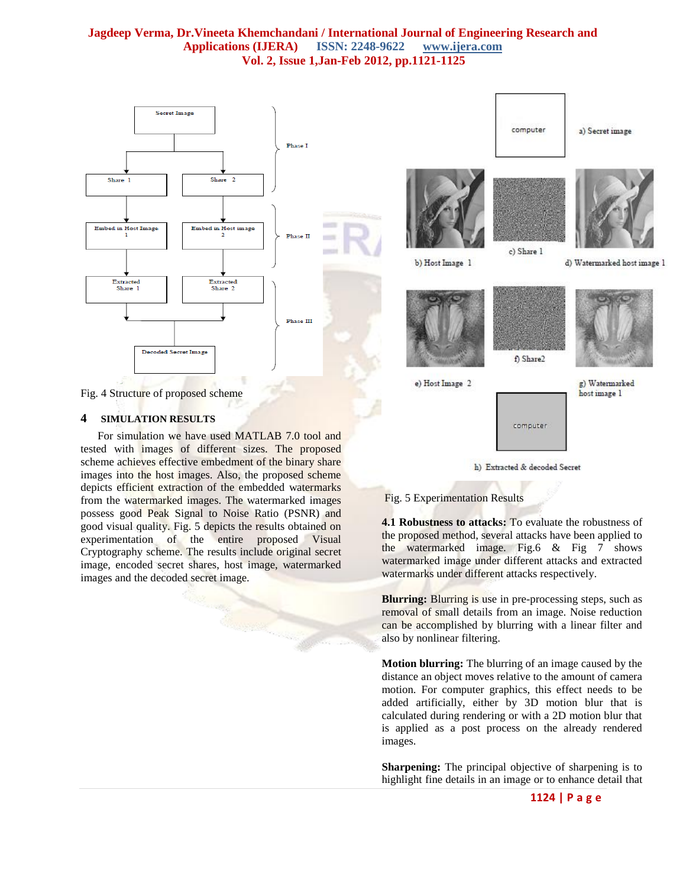

Fig. 4 Structure of proposed scheme

#### **4 SIMULATION RESULTS**

 For simulation we have used MATLAB 7.0 tool and tested with images of different sizes. The proposed scheme achieves effective embedment of the binary share images into the host images. Also, the proposed scheme depicts efficient extraction of the embedded watermarks from the watermarked images. The watermarked images possess good Peak Signal to Noise Ratio (PSNR) and good visual quality. Fig. 5 depicts the results obtained on experimentation of the entire proposed Visual Cryptography scheme. The results include original secret image, encoded secret shares, host image, watermarked images and the decoded secret image.



#### Fig. 5 Experimentation Results

**4.1 Robustness to attacks:** To evaluate the robustness of the proposed method, several attacks have been applied to the watermarked image. Fig.6 & Fig 7 shows watermarked image under different attacks and extracted watermarks under different attacks respectively.

**Blurring:** Blurring is use in pre-processing steps, such as removal of small details from an image. Noise reduction can be accomplished by blurring with a linear filter and also by nonlinear filtering.

**Motion blurring:** The blurring of an image caused by the distance an object moves relative to the amount of camera motion. For computer graphics, this effect needs to be added artificially, either by 3D motion blur that is calculated during rendering or with a 2D motion blur that is applied as a post process on the already rendered images.

**Sharpening:** The principal objective of sharpening is to highlight fine details in an image or to enhance detail that